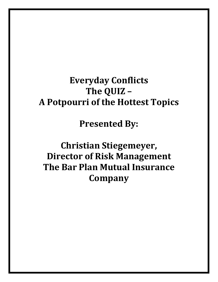## **Everyday Conflicts The QUIZ – A Potpourri of the Hottest Topics**

**Presented By:**

**Christian Stiegemeyer, Director of Risk Management The Bar Plan Mutual Insurance Company**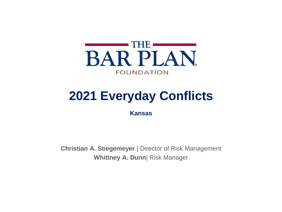

## **2021 Everyday Conflicts**

**Kansas**

**Christian A. Stiegemeyer** | Director of Risk Management **Whittney A. Dunn**| Risk Manager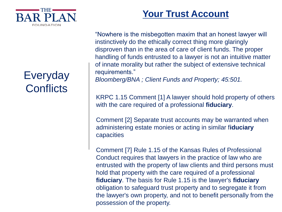

## Everyday **Conflicts**

### **Your Trust Account**

"Nowhere is the misbegotten maxim that an honest lawyer will instinctively do the ethically correct thing more glaringly disproven than in the area of care of client funds. The proper handling of funds entrusted to a lawyer is not an intuitive matter of innate morality but rather the subject of extensive technical requirements."

*Bloomberg/BNA ; Client Funds and Property; 45:501.* 

KRPC 1.15 Comment [1] A lawyer should hold property of others with the care required of a professional **fiduciary**.

Comment [2] Separate trust accounts may be warranted when administering estate monies or acting in similar f**iduciary**  capacities

Comment [7] Rule 1.15 of the Kansas Rules of Professional Conduct requires that lawyers in the practice of law who are entrusted with the property of law clients and third persons must hold that property with the care required of a professional **fiduciary**. The basis for Rule 1.15 is the lawyer's **fiduciary** obligation to safeguard trust property and to segregate it from the lawyer's own property, and not to benefit personally from the possession of the property.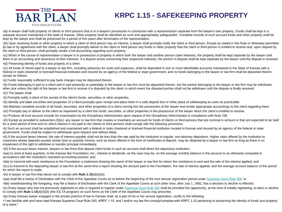

#### **KRPC 1.15 - SAFEKEEPING PROPERTY**

•(a) A lawyer shall hold property of clients or third persons that is in a lawyer's possession in connection with a representation separate from the lawyer's own property. Funds shall be kept in a separate account maintained in the state of Kansas. Other property shall be identified as such and appropriately safequarded. Complete records of such account funds and other property shall be kept by the lawyer and shall be preserved for a period of five years after termination of the representation.

•(b) Upon receiving funds or other property in which a client or third person has an interest, a lawyer shall promptly notify the client or third person. Except as stated in this Rule or otherwise permitted by law or by agreement with the client, a lawyer shall promptly deliver to the client or third person any funds or other property that the client or third person is entitled to receive and, upon request by the client or third person, shall promptly render a full accounting regarding such property.

•(c) When in the course of representation a lawyer is in possession of property in which both the lawyer and another person claim interests, the property shall be kept separate by the lawyer until there is an accounting and severance of their interests. If a dispute arises concerning their respective interests, the portion in dispute shall be kept separate by the lawyer until the dispute is resolved. •(d) Preserving identity of funds and property of a client.

•(1) All funds of clients paid to a lawyer or law firm, including advances for costs and expenses, shall be deposited in one or more identifiable accounts maintained in the State of Kansas with a federal or state chartered or licensed financial institution and insured by an agency of the federal or state government, and no funds belonging to the lawyer or law firm shall be deposited therein except as follows:

•(i) Funds reasonably sufficient to pay bank charges may be deposited therein.

•(ii) Funds belonging in part to a client and in part presently or potentially to the lawyer or law firm must be deposited therein, but the portion belonging to the lawyer or law firm may be withdrawn when due unless the right of the lawyer or law firm to receive it is disputed by the client, in which event the disputed portion shall not be withdrawn until the dispute is finally resolved.

•(2) The lawyer shall:

•(i) Promptly notify a client of the receipt of the client's funds, securities, or other properties.

•(ii) Identify and label securities and properties of a client promptly upon receipt and place them in a safe deposit box or other place of safekeeping as soon as practicable.

•(iii) Maintain complete records of all funds, securities, and other properties of a client coming into the possession of the lawyer and render appropriate accountings to the client regarding them.

•(iv) Promptly pay or deliver to the client as requested by a client the funds, securities, or other properties in the possession of the lawyer which the client is entitled to receive.

•(v) Produce all trust account records for examination by the Disciplinary Administrator upon request of the Disciplinary Administrator in compliance with Rule 236.

•(3) Except as provided in subsection (3)(iv), any lawyer or law firm that creates or maintains an account for funds of clients or third persons that are nominal in amount or that are expected to be held for a short period of time and on which interest is not paid to the clients or third persons shall comply with the following provisions:

•(i) Such an account shall be established and maintained with a federal or state chartered or licensed financial institution located in Kansas and insured by an agency of the federal or state government. Funds shall be subject to withdrawal upon request and without delay.

•(ii) If the account bears interest, the rate of interest payable shall not be less than the rate paid by the institution to regular, non-attorney depositors. Higher rates offered by the institution to customers whose deposits exceed certain time or quantity minima, such as those offered in the form of certificates of deposit, may be obtained by a lawyer or law firm so long as there is no impairment of the right to withdraw or transfer principal immediately.

•(iii) If the account bears interest, lawyers or law firms that deposit client funds in such an account shall direct the depository institution:

•(aa) to remit at least quarterly, to the Kansas Bar Foundation, Inc., interest or dividends, as the case may be, on the average monthly balance in the account or as otherwise computed in accordance with the institution's standard accounting practice; and

•(bb) to transmit with each remittance to the Foundation a statement showing the name of the lawyer or law firm for whom the remittance is sent and the rate of the interest applied; and

•(cc) to transmit to the depositing lawyer or law firm at the same time a report showing the amount paid to the Foundation, the rate of interest applied, and the average account balance of the period for which the report is made.

•(iv) A lawyer or law firm that elects not to comply with **Rule 1**.**15**(d)(3)(iii):

•(aa) shall file a Notice of Declination with the Clerk of the Appellate Courts on or before the beginning of the next annual registration period under [Supreme Court Rule 206](https://1.next.westlaw.com/Link/Document/FullText?findType=L&pubNum=1006859&cite=KSRDISCR206&originatingDoc=N77C1F030B8DF11DE8187B1B32693FDA2&refType=LQ&originationContext=document&transitionType=DocumentItem&contextData=(sc.Search)); or

•(bb) notwithstanding the foregoing, may file a Notice of Declination with the Clerk of the Appellate Courts at such other time, after July 1, 1992, that a decision to decline is effected.

•(v) Every lawyer who has not previously registered or who is required to register under [Supreme Court Rule 206](https://1.next.westlaw.com/Link/Document/FullText?findType=L&pubNum=1006859&cite=KSRDISCR206&originatingDoc=N77C1F030B8DF11DE8187B1B32693FDA2&refType=LQ&originationContext=document&transitionType=DocumentItem&contextData=(sc.Search)) shall be provided the opportunity, at the time of initially registering, to elect or decline to comply with **Rule 1**.**15**(d)(3)(iii) (the IOLTA program) on such forms as the Clerk of the Appellate Courts may prescribe.

•(e) Every Kansas lawyer engaged in the private practice of law in Kansas shall, as a part of his or her annual registration, certify to the following:

•"I am familiar with and have read Kansas Supreme Court Rule 240, KRPC 1.15, and I and/or my law firm comply/complies with KRPC 1.15 pertaining to preserving the identity of funds and property of a client."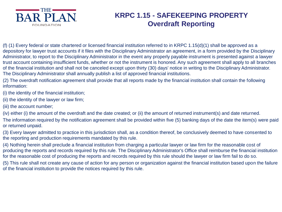

#### **KRPC 1.15 - SAFEKEEPING PROPERTY Overdraft Reporting**

(f) (1) Every federal or state chartered or licensed financial institution referred to in KRPC 1.15(d)(1) shall be approved as a depository for lawyer trust accounts if it files with the Disciplinary Administrator an agreement, in a form provided by the Disciplinary Administrator, to report to the Disciplinary Administrator in the event any properly payable instrument is presented against a lawyer trust account containing insufficient funds, whether or not the instrument is honored. Any such agreement shall apply to all branches of the financial institution and shall not be canceled except upon thirty (30) days' notice in writing to the Disciplinary Administrator. The Disciplinary Administrator shall annually publish a list of approved financial institutions.

(2) The overdraft notification agreement shall provide that all reports made by the financial institution shall contain the following information:

(i) the identity of the financial institution;

- (ii) the identity of the lawyer or law firm;
- (iii) the account number;

(iv) either (i) the amount of the overdraft and the date created; or (ii) the amount of returned instrument(s) and date returned.

The information required by the notification agreement shall be provided within five (5) banking days of the date the item(s) were paid or returned unpaid.

(3) Every lawyer admitted to practice in this jurisdiction shall, as a condition thereof, be conclusively deemed to have consented to the reporting and production requirements mandated by this rule.

(4) Nothing herein shall preclude a financial institution from charging a particular lawyer or law firm for the reasonable cost of producing the reports and records required by this rule. The Disciplinary Administrator's Office shall reimburse the financial institution for the reasonable cost of producing the reports and records required by this rule should the lawyer or law firm fail to do so.

(5) This rule shall not create any cause of action for any person or organization against the financial institution based upon the failure of the financial institution to provide the notices required by this rule.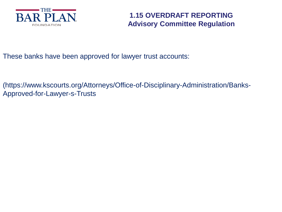

#### **1.15 OVERDRAFT REPORTING Advisory Committee Regulation**

These banks have been approved for lawyer trust accounts:

(https://www.kscourts.org/Attorneys/Office-of-Disciplinary-Administration/Banks-Approved-for-Lawyer-s-Trusts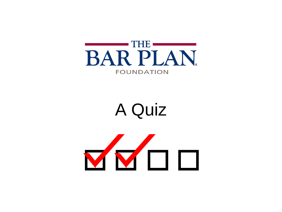

# A Quiz

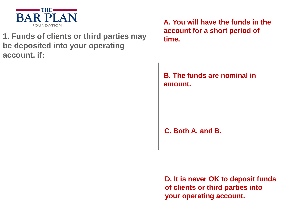

#### **1. Funds of clients or third parties may**  $\frac{1}{2}$  **time. be deposited into your operating account, if:**

**A. You will have the funds in the account for a short period of** 

#### **B. The funds are nominal in amount.**

**C. Both A. and B.**

**D. It is never OK to deposit funds of clients or third parties into your operating account.**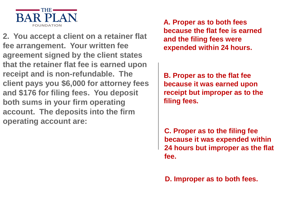

**2. You accept a client on a retainer flat fee arrangement. Your written fee agreement signed by the client states that the retainer flat fee is earned upon receipt and is non-refundable. The client pays you \$6,000 for attorney fees and \$176 for filing fees. You deposit both sums in your firm operating account. The deposits into the firm operating account are:**

**A. Proper as to both fees because the flat fee is earned and the filing fees were expended within 24 hours.** 

**B. Proper as to the flat fee because it was earned upon receipt but improper as to the filing fees.**

**C. Proper as to the filing fee because it was expended within 24 hours but improper as the flat fee.**

**D. Improper as to both fees.**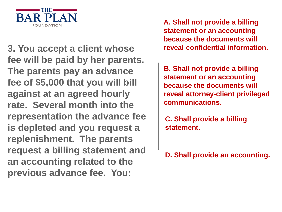

**3. You accept a client whose reveal confidential information. fee will be paid by her parents. The parents pay an advance fee of \$5,000 that you will bill against at an agreed hourly rate. Several month into the representation the advance fee is depleted and you request a replenishment. The parents request a billing statement and an accounting related to the previous advance fee. You:**

**A. Shall not provide a billing statement or an accounting because the documents will** 

**B. Shall not provide a billing statement or an accounting because the documents will reveal attorney-client privileged communications.**

**C. Shall provide a billing statement.**

#### **D. Shall provide an accounting.**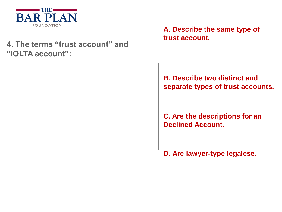

#### **4. The terms "trust account" and "IOLTA account":**

**A. Describe the same type of trust account.**

#### **B. Describe two distinct and separate types of trust accounts.**

**C. Are the descriptions for an Declined Account.**

**D. Are lawyer-type legalese.**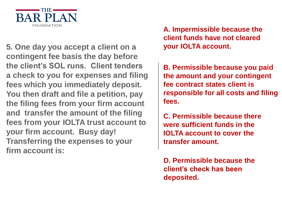

**5. One day you accept a client on a your IOLTA account. contingent fee basis the day before the client's SOL runs. Client tenders a check to you for expenses and filing fees which you immediately deposit. You then draft and file a petition, pay the filing fees from your firm account and transfer the amount of the filing fees from your IOLTA trust account to your firm account. Busy day! Transferring the expenses to your firm account is:**

**A. Impermissible because the client funds have not cleared** 

**B. Permissible because you paid the amount and your contingent fee contract states client is responsible for all costs and filing fees.**

**C. Permissible because there were sufficient funds in the IOLTA account to cover the transfer amount.**

**D. Permissible because the client's check has been deposited.**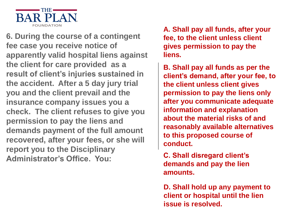

**6. During the course of a contingent fee case you receive notice of apparently valid hospital liens against the client for care provided as a result of client's injuries sustained in the accident. After a 5 day jury trial you and the client prevail and the insurance company issues you a check. The client refuses to give you permission to pay the liens and demands payment of the full amount recovered, after your fees, or she will report you to the Disciplinary Administrator's Office. You:**

**A. Shall pay all funds, after your fee, to the client unless client gives permission to pay the liens.**

**B. Shall pay all funds as per the client's demand, after your fee, to the client unless client gives permission to pay the liens only after you communicate adequate information and explanation about the material risks of and reasonably available alternatives to this proposed course of conduct.**

**C. Shall disregard client's demands and pay the lien amounts.**

**D. Shall hold up any payment to client or hospital until the lien issue is resolved.**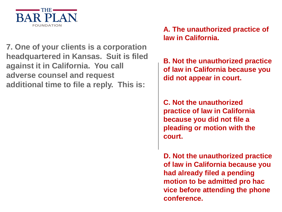

**7. One of your clients is a corporation headquartered in Kansas. Suit is filed against it in California. You call adverse counsel and request additional time to file a reply. This is:**

**A. The unauthorized practice of law in California.**

**B. Not the unauthorized practice of law in California because you did not appear in court.**

**C. Not the unauthorized practice of law in California because you did not file a pleading or motion with the court.**

**D. Not the unauthorized practice of law in California because you had already filed a pending motion to be admitted pro hac vice before attending the phone conference.**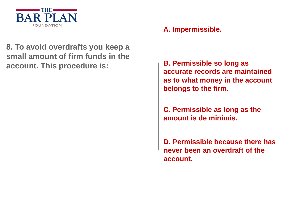

#### **A. Impermissible.**

**8. To avoid overdrafts you keep a small amount of firm funds in the account. This procedure is: B. Permissible so long as** 

**accurate records are maintained as to what money in the account belongs to the firm.**

**C. Permissible as long as the amount is de minimis.** 

**D. Permissible because there has never been an overdraft of the account.**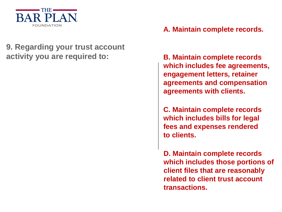

#### **9. Regarding your trust account activity you are required to: B. Maintain complete records**

#### **A. Maintain complete records.**

**which includes fee agreements, engagement letters, retainer agreements and compensation agreements with clients.**

**C. Maintain complete records which includes bills for legal fees and expenses rendered to clients.** 

**D. Maintain complete records which includes those portions of client files that are reasonably related to client trust account transactions.**